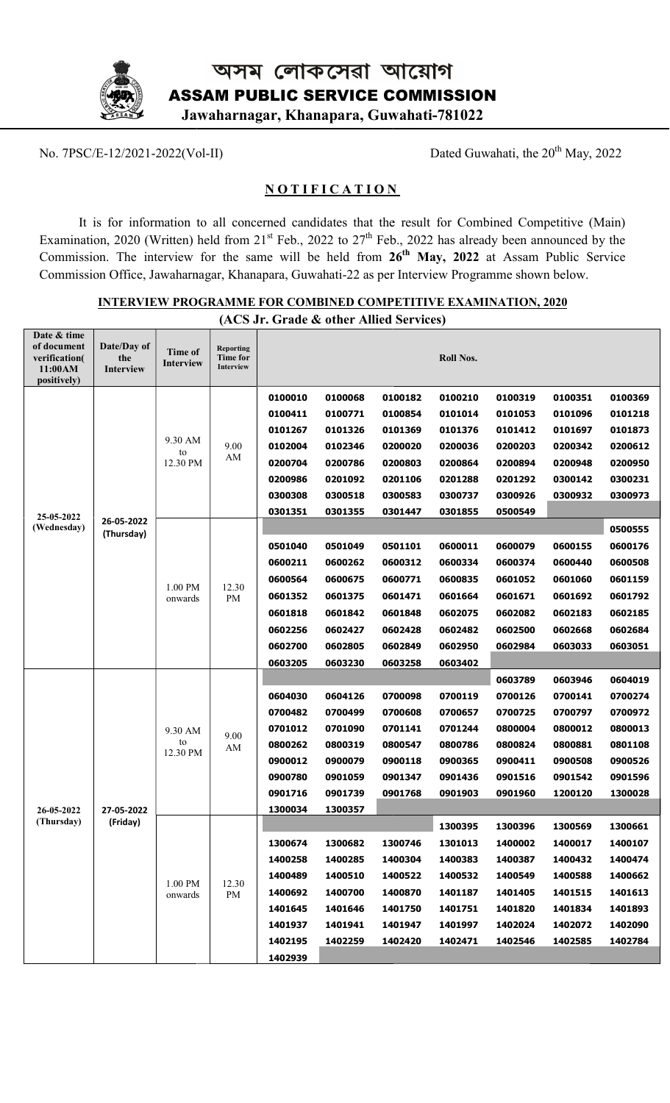

No. 7PSC/E-12/2021-2022(Vol-II)

Dated Guwahati, the 20<sup>th</sup> May, 2022

## **NOTIFICATION**

It is for information to all concerned candidates that the result for Combined Competitive (Main) Examination, 2020 (Written) held from 21<sup>st</sup> Feb., 2022 to 27<sup>th</sup> Feb., 2022 has already been announced by the Commission. The interview for the same will be held from  $26<sup>th</sup>$  May, 2022 at Assam Public Service Commission Office, Jawaharnagar, Khanapara, Guwahati-22 as per Interview Programme shown below. ed Competitive<br>been announced<br>Assam Public

| (ACS Jr. Grade & other Allied Services)                               |                                 |                             |                                           |                                                                                                 |                                                                                                 |                                                                                                 |                                                                                                 |                                                                                      |                                                                                      |                                                                                      |
|-----------------------------------------------------------------------|---------------------------------|-----------------------------|-------------------------------------------|-------------------------------------------------------------------------------------------------|-------------------------------------------------------------------------------------------------|-------------------------------------------------------------------------------------------------|-------------------------------------------------------------------------------------------------|--------------------------------------------------------------------------------------|--------------------------------------------------------------------------------------|--------------------------------------------------------------------------------------|
| Date & time<br>of document<br>verification(<br>11:00AM<br>positively) | Date/Day of<br>the<br>Interview | <b>Time of</b><br>Interview | <b>Reporting</b><br>Time for<br>Interview |                                                                                                 |                                                                                                 |                                                                                                 | <b>Roll Nos.</b>                                                                                |                                                                                      |                                                                                      |                                                                                      |
| 25-05-2022<br>(Wednesday)                                             | 26-05-2022<br>(Thursday)        | 9.30 AM<br>to<br>12.30 PM   | 9.00<br>AM                                | 0100010<br>0100411<br>0101267<br>0102004<br>0200704<br>0200986<br>0300308                       | 0100068<br>0100771<br>0101326<br>0102346<br>0200786<br>0201092<br>0300518                       | 0100182<br>0100854<br>0101369<br>0200020<br>0200803<br>0201106<br>0300583                       | 0100210<br>0101014<br>0101376<br>0200036<br>0200864<br>0201288<br>0300737                       | 0100319<br>0101053<br>0101412<br>0200203<br>0200894<br>0201292<br>0300926            | 0100351<br>0101096<br>0101697<br>0200342<br>0200948<br>0300142<br>0300932            | 0100369<br>0101218<br>0101873<br>0200612<br>0200950<br>0300231<br>0300973            |
|                                                                       |                                 | 1.00 PM<br>onwards          | 12.30<br>PM                               | 0301351<br>0501040<br>0600211<br>0600564<br>0601352<br>0601818<br>0602256<br>0602700<br>0603205 | 0301355<br>0501049<br>0600262<br>0600675<br>0601375<br>0601842<br>0602427<br>0602805<br>0603230 | 0301447<br>0501101<br>0600312<br>0600771<br>0601471<br>0601848<br>0602428<br>0602849<br>0603258 | 0301855<br>0600011<br>0600334<br>0600835<br>0601664<br>0602075<br>0602482<br>0602950<br>0603402 | 0500549<br>0600079<br>0600374<br>0601052<br>0601671<br>0602082<br>0602500<br>0602984 | 0600155<br>0600440<br>0601060<br>0601692<br>0602183<br>0602668<br>0603033            | 0500555<br>0600176<br>0600508<br>0601159<br>0601792<br>0602185<br>0602684<br>0603051 |
| 26-05-2022<br>(Thursday)                                              | 27-05-2022<br>(Friday)          | 9.30 AM<br>to<br>12.30 PM   | 9.00<br>AM                                | 0604030<br>0700482<br>0701012<br>0800262<br>0900012<br>0900780<br>0901716<br>1300034            | 0604126<br>0700499<br>0701090<br>0800319<br>0900079<br>0901059<br>0901739<br>1300357            | 0700098<br>0700608<br>0701141<br>0800547<br>0900118<br>0901347<br>0901768                       | 0700119<br>0700657<br>0701244<br>0800786<br>0900365<br>0901436<br>0901903                       | 0603789<br>0700126<br>0700725<br>0800004<br>0800824<br>0900411<br>0901516<br>0901960 | 0603946<br>0700141<br>0700797<br>0800012<br>0800881<br>0900508<br>0901542<br>1200120 | 0604019<br>0700274<br>0700972<br>0800013<br>0801108<br>0900526<br>0901596<br>1300028 |
|                                                                       |                                 | 1.00 PM<br>onwards          | 12.30<br>PM                               | 1300674<br>1400258<br>1400489<br>1400692<br>1401645<br>1401937<br>1402195<br>1402939            | 1300682<br>1400285<br>1400510<br>1400700<br>1401646<br>1401941<br>1402259                       | 1300746<br>1400304<br>1400522<br>1400870<br>1401750<br>1401947<br>1402420                       | 1300395<br>1301013<br>1400383<br>1400532<br>1401187<br>1401751<br>1401997<br>1402471            | 1300396<br>1400002<br>1400387<br>1400549<br>1401405<br>1401820<br>1402024<br>1402546 | 1300569<br>1400017<br>1400432<br>1400588<br>1401515<br>1401834<br>1402072<br>1402585 | 1300661<br>1400107<br>1400474<br>1400662<br>1401613<br>1401893<br>1402090<br>1402784 |

INTERVIEW PROGRAMME FOR COMBINED COMPETITIVE EXAMINATION, 2020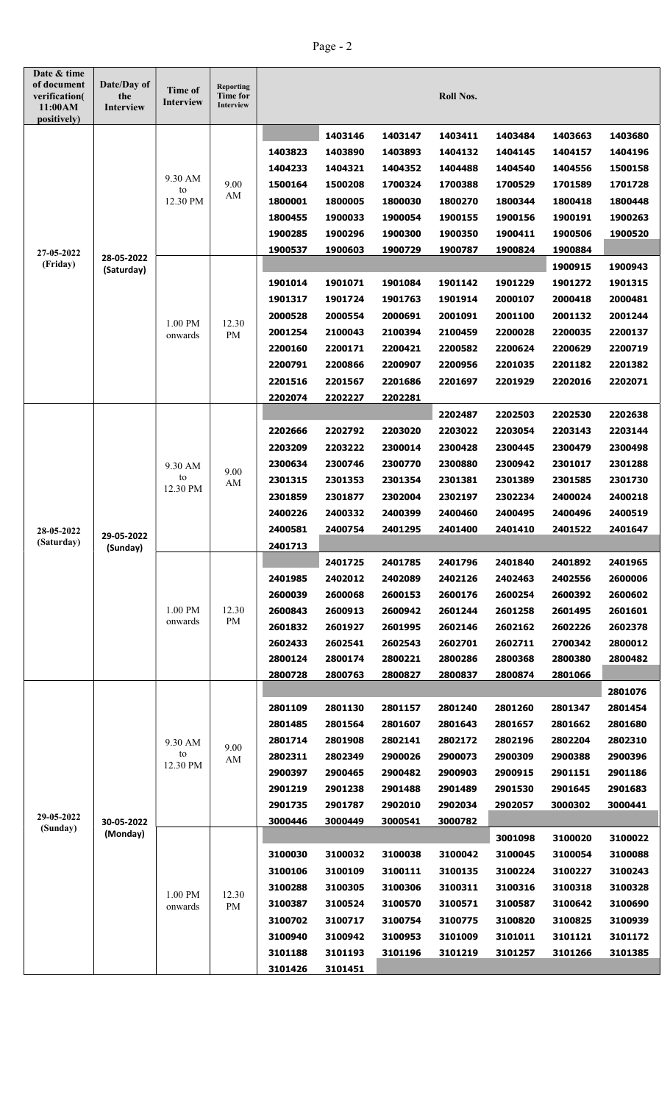## Page - 2

| Date & time<br>of document<br>verification(<br>11:00AM<br>positively) | Date/Day of<br>the<br><b>Interview</b> | Time of<br><b>Interview</b> | <b>Reporting</b><br><b>Time for</b><br>Interview |                    |                    |                    | <b>Roll Nos.</b>   |                    |                    |                    |
|-----------------------------------------------------------------------|----------------------------------------|-----------------------------|--------------------------------------------------|--------------------|--------------------|--------------------|--------------------|--------------------|--------------------|--------------------|
|                                                                       |                                        |                             |                                                  |                    | 1403146            | 1403147            | 1403411            | 1403484            | 1403663            | 1403680            |
|                                                                       |                                        |                             |                                                  | 1403823            | 1403890            | 1403893            | 1404132            | 1404145            | 1404157            | 1404196            |
|                                                                       |                                        |                             |                                                  | 1404233            | 1404321            | 1404352            | 1404488            | 1404540            | 1404556            | 1500158            |
|                                                                       |                                        | 9.30 AM<br>to               | 9.00                                             | 1500164            | 1500208            | 1700324            | 1700388            | 1700529            | 1701589            | 1701728            |
|                                                                       |                                        | 12.30 PM                    | AM                                               | 1800001            | 1800005            | 1800030            | 1800270            | 1800344            | 1800418            | 1800448            |
|                                                                       |                                        |                             |                                                  | 1800455            | 1900033            | 1900054            | 1900155            | 1900156            | 1900191            | 1900263            |
|                                                                       |                                        |                             |                                                  | 1900285            | 1900296            | 1900300            | 1900350            | 1900411            | 1900506            | 1900520            |
| 27-05-2022                                                            |                                        |                             |                                                  | 1900537            | 1900603            | 1900729            | 1900787            | 1900824            | 1900884            |                    |
| (Friday)                                                              | 28-05-2022<br>(Saturday)               |                             |                                                  |                    |                    |                    |                    |                    | 1900915            | 1900943            |
|                                                                       |                                        |                             |                                                  | 1901014            | 1901071            | 1901084            | 1901142            | 1901229            | 1901272            | 1901315            |
|                                                                       |                                        |                             |                                                  | 1901317            | 1901724            | 1901763            | 1901914            | 2000107            | 2000418            | 2000481            |
|                                                                       |                                        | 1.00 PM                     | 12.30                                            | 2000528            | 2000554            | 2000691            | 2001091            | 2001100            | 2001132            | 2001244            |
|                                                                       |                                        | onwards                     | PM                                               | 2001254            | 2100043            | 2100394            | 2100459            | 2200028            | 2200035            | 2200137            |
|                                                                       |                                        |                             |                                                  | 2200160            | 2200171            | 2200421            | 2200582            | 2200624            | 2200629            | 2200719            |
|                                                                       |                                        |                             |                                                  | 2200791            | 2200866            | 2200907            | 2200956            | 2201035            | 2201182            | 2201382            |
|                                                                       |                                        |                             |                                                  | 2201516            | 2201567            | 2201686            | 2201697            | 2201929            | 2202016            | 2202071            |
|                                                                       |                                        |                             |                                                  | 2202074            | 2202227            | 2202281            |                    |                    |                    |                    |
|                                                                       |                                        |                             |                                                  |                    |                    |                    | 2202487            | 2202503            | 2202530            | 2202638            |
|                                                                       | 29-05-2022<br>(Sunday)                 | 9.30 AM<br>to<br>12.30 PM   | 9.00<br>AM                                       | 2202666            | 2202792            | 2203020            | 2203022            | 2203054            | 2203143            | 2203144            |
| 28-05-2022                                                            |                                        |                             |                                                  | 2203209            | 2203222            | 2300014            | 2300428            | 2300445            | 2300479            | 2300498            |
|                                                                       |                                        |                             |                                                  | 2300634            | 2300746            | 2300770            | 2300880            | 2300942            | 2301017            | 2301288            |
|                                                                       |                                        |                             |                                                  | 2301315            | 2301353            | 2301354            | 2301381            | 2301389            | 2301585            | 2301730            |
|                                                                       |                                        |                             |                                                  | 2301859            | 2301877            | 2302004            | 2302197            | 2302234            | 2400024            | 2400218            |
|                                                                       |                                        |                             |                                                  | 2400226            | 2400332            | 2400399            | 2400460            | 2400495            | 2400496            | 2400519            |
|                                                                       |                                        |                             |                                                  | 2400581            | 2400754            | 2401295            | 2401400            | 2401410            | 2401522            | 2401647            |
| (Saturday)                                                            |                                        |                             |                                                  | 2401713            |                    |                    |                    |                    |                    |                    |
|                                                                       |                                        |                             |                                                  |                    | 2401725            | 2401785            | 2401796            | 2401840            | 2401892            | 2401965            |
|                                                                       |                                        |                             |                                                  | 2401985            | 2402012            | 2402089            | 2402126            | 2402463            | 2402556            | 2600006            |
|                                                                       |                                        |                             |                                                  | 2600039            | 2600068            | 2600153            | 2600176            | 2600254            | 2600392            | 2600602            |
|                                                                       |                                        | 1.00 PM<br>onwards          | 12.30<br>PM                                      | 2600843            | 2600913            | 2600942            | 2601244            | 2601258            | 2601495            | 2601601            |
|                                                                       |                                        |                             |                                                  | 2601832            | 2601927            | 2601995            | 2602146            | 2602162            | 2602226            | 2602378            |
|                                                                       |                                        |                             |                                                  | 2602433            | 2602541<br>2800174 | 2602543            | 2602701            | 2602711<br>2800368 | 2700342            | 2800012<br>2800482 |
|                                                                       |                                        |                             |                                                  | 2800124<br>2800728 | 2800763            | 2800221<br>2800827 | 2800286<br>2800837 | 2800874            | 2800380<br>2801066 |                    |
|                                                                       |                                        |                             |                                                  |                    |                    |                    |                    |                    |                    | 2801076            |
|                                                                       | 30-05-2022<br>(Monday)                 | 9.30 AM<br>to               | 9.00<br>AM                                       | 2801109            | 2801130            | 2801157            | 2801240            | 2801260            | 2801347            | 2801454            |
|                                                                       |                                        |                             |                                                  | 2801485            | 2801564            | 2801607            | 2801643            | 2801657            | 2801662            | 2801680            |
|                                                                       |                                        |                             |                                                  | 2801714            | 2801908            | 2802141            | 2802172            | 2802196            | 2802204            | 2802310            |
|                                                                       |                                        |                             |                                                  | 2802311            | 2802349            | 2900026            | 2900073            | 2900309            | 2900388            | 2900396            |
|                                                                       |                                        | 12.30 PM                    |                                                  | 2900397            | 2900465            | 2900482            | 2900903            | 2900915            | 2901151            | 2901186            |
|                                                                       |                                        |                             |                                                  | 2901219            | 2901238            | 2901488            | 2901489            | 2901530            | 2901645            | 2901683            |
| 29-05-2022<br>(Sunday)                                                |                                        |                             |                                                  | 2901735            | 2901787            | 2902010            | 2902034            | 2902057            | 3000302            | 3000441            |
|                                                                       |                                        |                             |                                                  | 3000446            | 3000449            | 3000541            | 3000782            |                    |                    |                    |
|                                                                       |                                        |                             |                                                  |                    |                    |                    |                    | 3001098            | 3100020            | 3100022            |
|                                                                       |                                        |                             |                                                  | 3100030            | 3100032            | 3100038            | 3100042            | 3100045            | 3100054            | 3100088            |
|                                                                       |                                        | 1.00 PM<br>onwards          | 12.30<br>PM                                      | 3100106            | 3100109            | 3100111            | 3100135            | 3100224            | 3100227            | 3100243            |
|                                                                       |                                        |                             |                                                  | 3100288            | 3100305            | 3100306            | 3100311            | 3100316            | 3100318            | 3100328            |
|                                                                       |                                        |                             |                                                  | 3100387            | 3100524            | 3100570            | 3100571            | 3100587            | 3100642            | 3100690            |
|                                                                       |                                        |                             |                                                  | 3100702            | 3100717            | 3100754            | 3100775            | 3100820            | 3100825            | 3100939            |
|                                                                       |                                        |                             |                                                  | 3100940            | 3100942            | 3100953            | 3101009            | 3101011            | 3101121            | 3101172            |
|                                                                       |                                        |                             |                                                  | 3101188            | 3101193            | 3101196            | 3101219            | 3101257            | 3101266            | 3101385            |
|                                                                       |                                        |                             |                                                  | 3101426            | 3101451            |                    |                    |                    |                    |                    |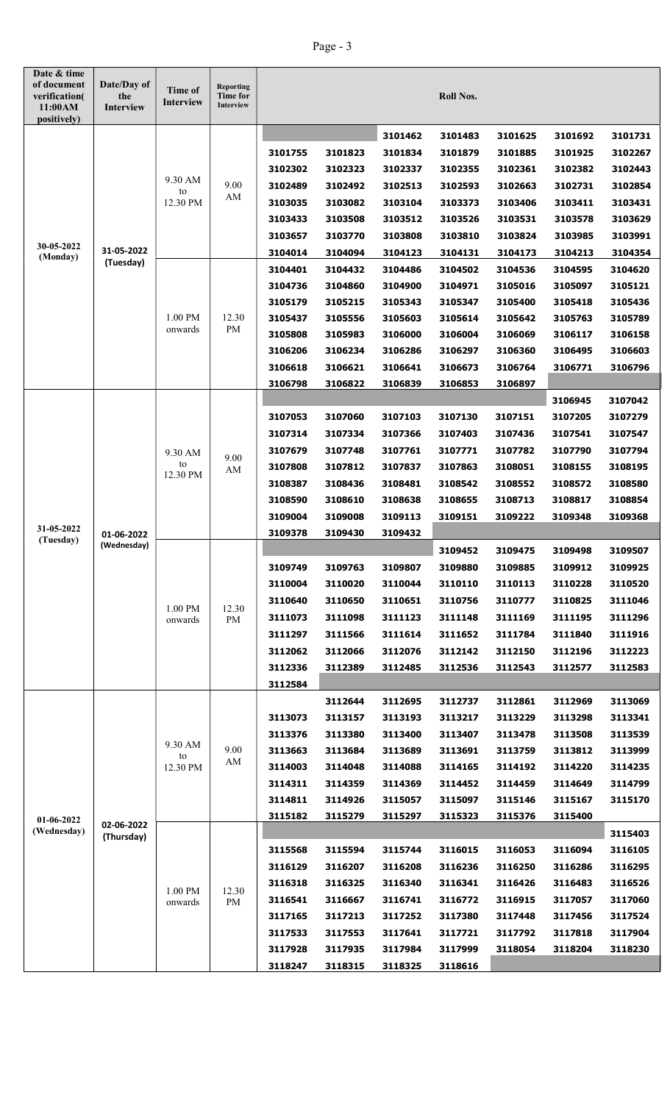## Page - 3

| Date & time<br>of document<br>verification(<br>11:00AM<br>positively) | Date/Day of<br>the<br>Interview | Time of<br>Interview      | <b>Reporting</b><br>Time for<br>Interview        |         |                    |                    | <b>Roll Nos.</b>   |                    |                    |                    |
|-----------------------------------------------------------------------|---------------------------------|---------------------------|--------------------------------------------------|---------|--------------------|--------------------|--------------------|--------------------|--------------------|--------------------|
|                                                                       |                                 |                           |                                                  |         |                    | 3101462            | 3101483            | 3101625            | 3101692            | 3101731            |
|                                                                       |                                 |                           |                                                  | 3101755 | 3101823            | 3101834            | 3101879            | 3101885            | 3101925            | 3102267            |
|                                                                       |                                 |                           |                                                  | 3102302 | 3102323            | 3102337            | 3102355            | 3102361            | 3102382            | 3102443            |
|                                                                       |                                 | 9.30 AM                   | 9.00                                             | 3102489 | 3102492            | 3102513            | 3102593            | 3102663            | 3102731            | 3102854            |
| 30-05-2022<br>(Monday)                                                |                                 | to<br>12.30 PM            | AM                                               | 3103035 | 3103082            | 3103104            | 3103373            | 3103406            | 3103411            | 3103431            |
|                                                                       |                                 |                           |                                                  | 3103433 | 3103508            | 3103512            | 3103526            | 3103531            | 3103578            | 3103629            |
|                                                                       |                                 |                           |                                                  | 3103657 | 3103770            | 3103808            | 3103810            | 3103824            | 3103985            | 3103991            |
|                                                                       | 31-05-2022                      |                           |                                                  | 3104014 | 3104094            | 3104123            | 3104131            | 3104173            | 3104213            | 3104354            |
|                                                                       | (Tuesday)                       |                           |                                                  | 3104401 | 3104432            | 3104486            | 3104502            | 3104536            | 3104595            | 3104620            |
|                                                                       |                                 |                           |                                                  | 3104736 | 3104860            | 3104900            | 3104971            | 3105016            | 3105097            | 3105121            |
|                                                                       |                                 |                           |                                                  | 3105179 | 3105215            | 3105343            | 3105347            | 3105400            | 3105418            | 3105436            |
|                                                                       |                                 | 1.00 PM                   | 12.30                                            | 3105437 | 3105556            | 3105603            | 3105614            | 3105642            | 3105763            | 3105789            |
|                                                                       |                                 | onwards                   | PM                                               | 3105808 | 3105983            | 3106000            | 3106004            | 3106069            | 3106117            | 3106158            |
|                                                                       |                                 |                           |                                                  | 3106206 | 3106234            | 3106286            | 3106297            | 3106360            | 3106495            | 3106603            |
|                                                                       |                                 |                           |                                                  | 3106618 | 3106621            | 3106641            | 3106673            | 3106764            | 3106771            | 3106796            |
|                                                                       |                                 |                           |                                                  | 3106798 | 3106822            | 3106839            | 3106853            | 3106897            |                    |                    |
|                                                                       |                                 |                           |                                                  |         |                    |                    |                    |                    | 3106945            | 3107042            |
|                                                                       |                                 | 9.30 AM<br>to<br>12.30 PM | 9.00<br>AM                                       | 3107053 | 3107060            | 3107103            | 3107130            | 3107151            | 3107205            | 3107279            |
| 31-05-2022                                                            | 01-06-2022<br>(Wednesday)       |                           |                                                  | 3107314 | 3107334            | 3107366            | 3107403            | 3107436            | 3107541            | 3107547            |
|                                                                       |                                 |                           |                                                  | 3107679 | 3107748            | 3107761            | 3107771            | 3107782            | 3107790            | 3107794            |
|                                                                       |                                 |                           |                                                  | 3107808 | 3107812            | 3107837            | 3107863            | 3108051            | 3108155            | 3108195            |
|                                                                       |                                 |                           |                                                  | 3108387 | 3108436            | 3108481            | 3108542            | 3108552            | 3108572            | 3108580            |
|                                                                       |                                 |                           |                                                  | 3108590 | 3108610            | 3108638            | 3108655            | 3108713            | 3108817            | 3108854            |
|                                                                       |                                 |                           |                                                  | 3109004 | 3109008            | 3109113            | 3109151            | 3109222            | 3109348            | 3109368            |
| (Tuesday)                                                             |                                 |                           |                                                  | 3109378 | 3109430            | 3109432            |                    |                    |                    |                    |
|                                                                       |                                 |                           |                                                  |         |                    |                    | 3109452            | 3109475            | 3109498            | 3109507            |
|                                                                       |                                 | 1.00 PM<br>onwards        | 12.30<br>PM                                      | 3109749 | 3109763            | 3109807            | 3109880            | 3109885            | 3109912            | 3109925            |
|                                                                       |                                 |                           |                                                  | 3110004 | 3110020            | 3110044            | 3110110            | 3110113            | 3110228            | 3110520            |
|                                                                       |                                 |                           |                                                  | 3110640 | 3110650            | 3110651            | 3110756            | 3110777            | 3110825            | 3111046            |
|                                                                       |                                 |                           |                                                  | 3111073 | 3111098            | 3111123            | 3111148            | 3111169            | 3111195            | 3111296            |
|                                                                       |                                 |                           |                                                  | 3111297 | 3111566            | 3111614            | 3111652            | 3111784            | 3111840            | 3111916            |
|                                                                       |                                 |                           |                                                  | 3112062 | 3112066            | 3112076            | 3112142            | 3112150            | 3112196            | 3112223            |
|                                                                       |                                 |                           |                                                  | 3112336 | 3112389            | 3112485            | 3112536            | 3112543            | 3112577            | 3112583            |
|                                                                       |                                 |                           |                                                  | 3112584 |                    |                    |                    |                    |                    |                    |
|                                                                       |                                 | 9.30 AM                   | 9.00<br>to<br>$\mathbf{A}\mathbf{M}$<br>12.30 PM | 3113073 | 3112644<br>3113157 | 3112695<br>3113193 | 3112737<br>3113217 | 3112861<br>3113229 | 3112969<br>3113298 | 3113069<br>3113341 |
|                                                                       |                                 |                           |                                                  | 3113376 | 3113380            | 3113400            | 3113407            | 3113478            | 3113508            | 3113539            |
|                                                                       |                                 |                           |                                                  | 3113663 | 3113684            | 3113689            | 3113691            | 3113759            | 3113812            | 3113999            |
|                                                                       |                                 |                           |                                                  | 3114003 | 3114048            | 3114088            | 3114165            | 3114192            | 3114220            | 3114235            |
|                                                                       |                                 |                           |                                                  | 3114311 | 3114359            | 3114369            | 3114452            | 3114459            | 3114649            | 3114799            |
| 01-06-2022<br>(Wednesday)                                             |                                 |                           |                                                  | 3114811 | 3114926            | 3115057            | 3115097            | 3115146            | 3115167            | 3115170            |
|                                                                       |                                 |                           |                                                  | 3115182 | 3115279            | 3115297            | 3115323            | 3115376            | 3115400            |                    |
|                                                                       | 02-06-2022                      |                           |                                                  |         |                    |                    |                    |                    |                    | 3115403            |
|                                                                       | (Thursday)                      |                           |                                                  | 3115568 | 3115594            | 3115744            | 3116015            | 3116053            | 3116094            | 3116105            |
|                                                                       |                                 |                           |                                                  | 3116129 | 3116207            | 3116208            | 3116236            | 3116250            | 3116286            | 3116295            |
|                                                                       |                                 |                           |                                                  | 3116318 | 3116325            | 3116340            | 3116341            | 3116426            | 3116483            | 3116526            |
|                                                                       |                                 | 1.00 PM<br>onwards        | 12.30<br>PM                                      | 3116541 | 3116667            | 3116741            | 3116772            | 3116915            | 3117057            | 3117060            |
|                                                                       |                                 |                           |                                                  | 3117165 | 3117213            | 3117252            | 3117380            | 3117448            | 3117456            | 3117524            |
|                                                                       |                                 |                           |                                                  | 3117533 | 3117553            | 3117641            | 3117721            | 3117792            | 3117818            | 3117904            |
|                                                                       |                                 |                           |                                                  | 3117928 | 3117935            | 3117984            | 3117999            | 3118054            | 3118204            | 3118230            |
|                                                                       |                                 |                           |                                                  | 3118247 | 3118315            | 3118325            | 3118616            |                    |                    |                    |